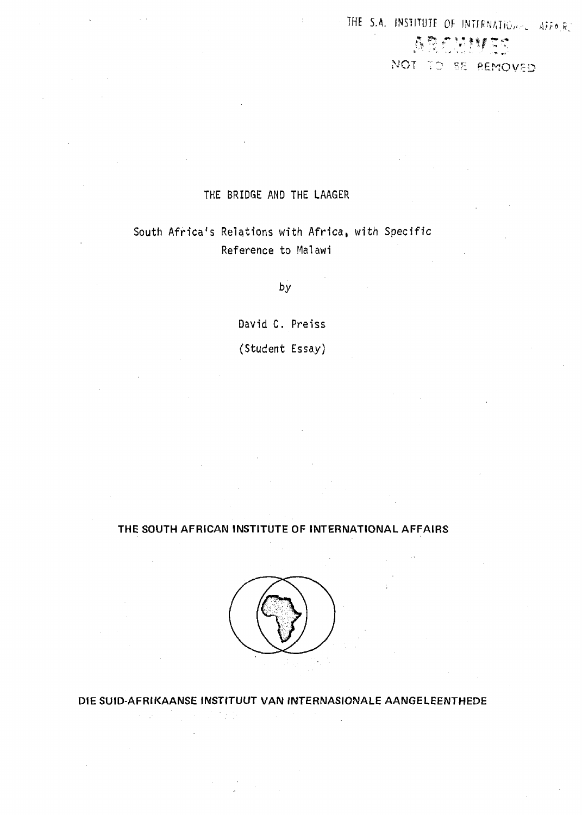# THE S.A. INSTITUTE OF INTERNATIONSLY Affairs ARCHM NOT TO BE REMOVED

## THE BRIDGE AMD THE LAAGER

## South Africa's Relations with Africa, with Specific Reference to Malawi

**by**

David C. Preiss

(Student Essay)

## **THE SOUTH AFRICAN INSTITUTE OF INTERNATIONAL AFFAIRS**



**DIE SUID-AFRIKAANSE INSTITUUT VAN INTERNASIONALE AANGELEENTHEDE**

医肾内炎

 $\alpha=\sqrt{1-\alpha}$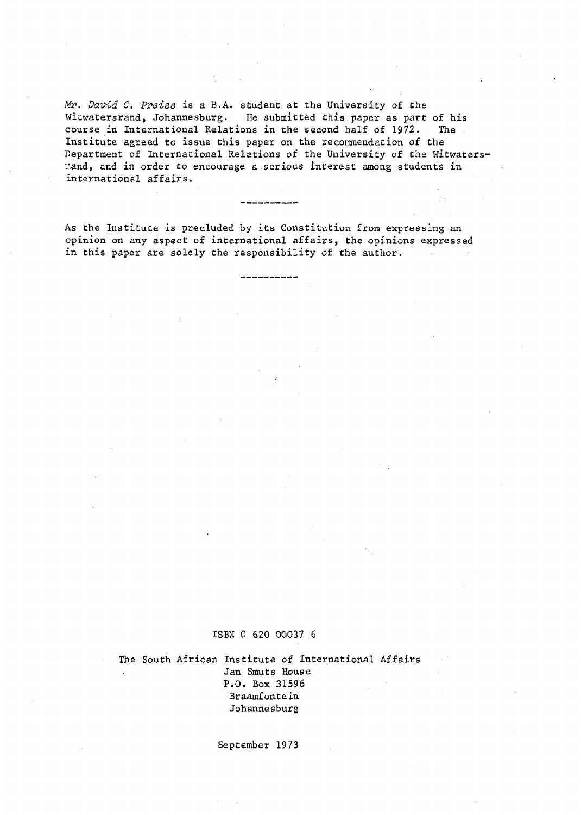Mr. David C. Preiss is a B.A. student at the University of the Witwatersrand, Johannesburg. He submitted this paper as part of his course in International Relations in the second half of 1972. The Institute agreed to issue this paper on the recommendation of the Department of International Relations of the University of the Witwatersrand, and in order to encourage a serious interest among students in international affairs.

As the Institute is precluded by its Constitution from expressing an opinion on any aspect of international affairs, the opinions expressed in this paper are solely the responsibility of the author.

#### ISBN 0 620 00037 6

The South African Institute of International Affairs Jan Smuts House P.O. Box 31596 Braamfontein Johannesburg

September 1973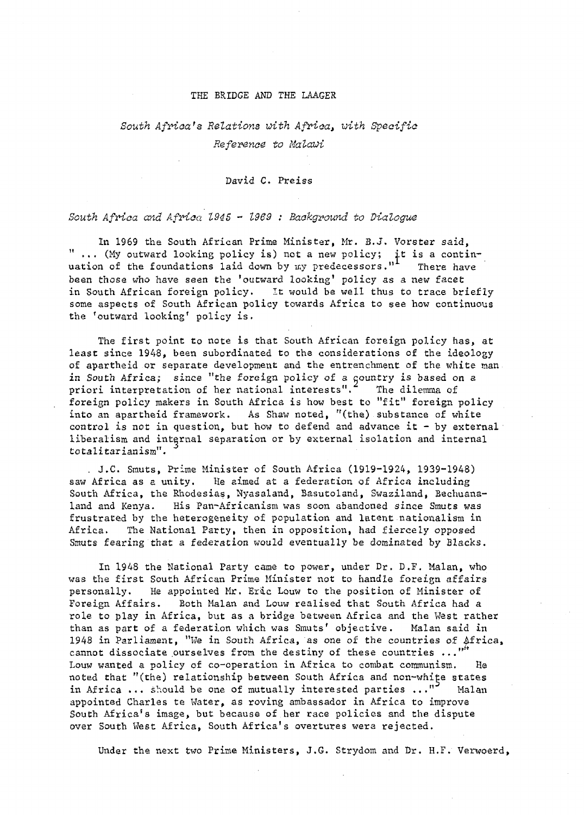#### THE BRIDGE AND THE LAAGER

## South Africa's Relations with Africa, with Specific Reference to Malawi

David C. Preiss

## South Africa and Africa 1945 - 1969 : Background to Dialogue

In 1969 the South African Prime Minister, Mr. B.J. Vorster said, " ... (My outward looking policy is) not a new policy; it is a continuation of the foundations laid down by my predecessors."<sup>I</sup> There have been those who have seen the 'outward looking' policy as a new facet in South African foreign policy. It would be well thus to trace briefly some aspects of South African policy towards Africa to see how continuous the 'outward looking' policy is.

The first point to note is that South African foreign policy has, at least since 1948, been subordinated to the considerations of the ideology of apartheid or separate development and the entrenchment of the white man in South Africa; since "the foreign policy of a country is based on a priori interpretation of her national interests".<sup>2</sup> The dilemma of foreign policy makers in South Africa is how best to "fit" foreign policy into an apartheid framework. As Shaw noted, "(the) substance of white control is not in question, but how to defend and advance it - by external liberalism and internal separation or by external isolation and internal totalitarianism".

. J.C. Smuts, Prime Minister of South Africa (1919-1924, 1939-1948) saw Africa as a unity. He aimed at a federation of Africa including South Africa, the Rhodesias, Nyasaland, Basutoland, Swaziland, Bechuanaland and Kenya. His Pan^Africanism was soon abandoned since Smuts was frustrated by the heterogeneity of population and latent nationalism in Africa. The National Party, then in opposition, had fiercely opposed Smuts fearing that a federation would eventually be dominated by Blacks.

In 1948 the National Party came to power, under Dr. D.F. Malan, who was the first South African Prime Minister not to handle foreign affairs personally. He appointed Mr. Eric Louw to the position of Minister of Foreign Affairs. Both Malan and Louw realised that South Africa had a role to play in Africa, but as a bridge between Africa and the Wast rather than as part of a federation which was Smuts' objective. Malan said in 1948 in Parliament, "We in South Africa, as one of the countries of Africa, cannot dissociate ourselves from the destiny of these countries  $\ldots$ , " Louw wanted a policy of co-operation in Africa to combat communism. He noted that "(the) relationship between South Africa and non-white states in Africa ... should be one of mutually interested parties ..."<sup>3</sup> Malan appointed Charles te Water, as roving ambassador in Africa to improve South Africa's image, but because of her race policies and the dispute over South West Africa, South Africa's overtures were rejected.

Under the next two Prime Ministers, J.G. Strydom and Dr. H.F. Verwoerd,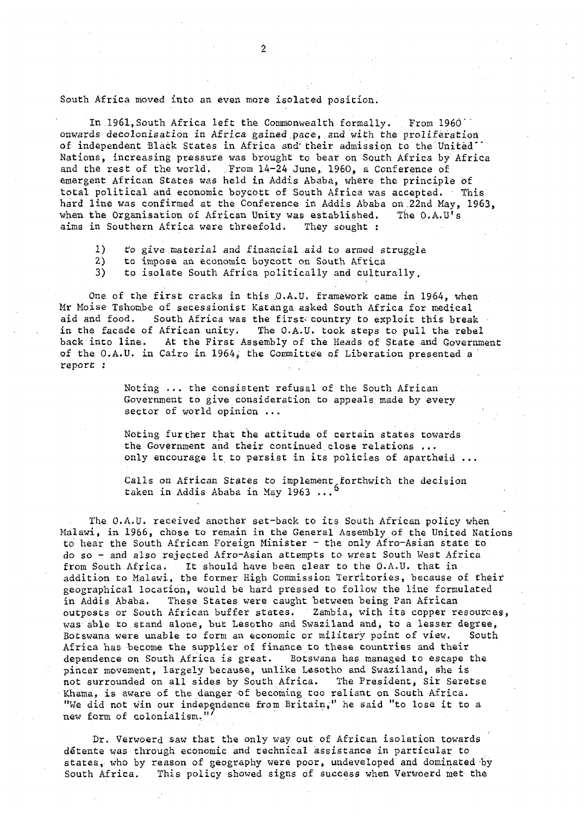South Africa moved into an even more isolated position.

In 1961, South Africa left the Commonwealth formally. . From 1960'' onwards decolonisation in Africa gained pace, and with the proliferation of independent Black States in Africa and their admission to the United\* Nations, increasing pressure was brought to bear on South Africa by Africa and the rest of the world. From 14-24 June, 1960, a Conference of emergent African States was held in Addis Ababa, where the principle of total political and economic boycott of South Africa was accepted. This hard line was confirmed at the Conference in Addis Ababa on ,22nd May, 1963, when the Organisation of African Unity was established. The O.A.U's aims in Southern Africa were threefold. They sought :

1) to give material and financial aid to armed struggle

2) to impose an economic boycott on South Africa

3) to isolate South Africa politically and culturally.

One of the first cracks in this O.A.U. framework came in 1964, when Mr Moise Tshombe of secessionist Katanga asked South Africa for medical aid and food. South Africa was the first- country to exploit this break in the facade of African unity. The O.A.U. took steps to pull the rebel back into line. At the First Assembly of the Heads of State and Government of the O.A.U. in Cairo in 1964, the Committee of Liberation presented a report i .

> Noting ... the consistent refusal of the South African Government to give consideration to appeals made by every sector of world opinion ...

Noting further that the attitude of certain states towards the Government and their continued close relations ... only encourage it to persist in its policies of apartheid ...

Calls on African States to implement forthwith the decision taken in Addis Ababa in May 1963 ...

The O.A.U. received another set-back to its South African policy when Malawi, in 1966, chose to remain in the General Assembly of the United Nations to hear the South African Foreign Minister - the only Afro-Asian state to do so - and also rejected Afro-Asian attempts to wrest South West Africa from South Africa. It should have been clear to the O.A.U. that in addition to Malawi, the former High Commission Territories, because of their geographical location, would be hard pressed to follow the line formulated in Addis Ababa. These States were caught between being Pan African outposts or South African buffer states. ' Zambia, with its copper resources, was able to stand alone, but Lesotho and Swaziland and, to a lesser degree, Botswana were unable to form an economic or military point of view. South Africa has become the supplier of finance to these countries and their dependence on South Africa is great. Botswana has managed to escape the pincer movement, largely because, unlike Lesotho and Swaziland, she is not surrounded on all sides by South Africa. The President, Sir Seretse Khama, is aware of the danger 'Of becoming too reliant on South Africa. "We did not win our independence from Britain," he said "to lose it to a new form of colonialism."

Dr. Verwoerd saw that the only way out of African isolation towards detente was through economic and technical assistance in particular to states, who by reason of geography were poor, undeveloped and dominated by South Africa. This policy showed signs of success when Verwoerd met the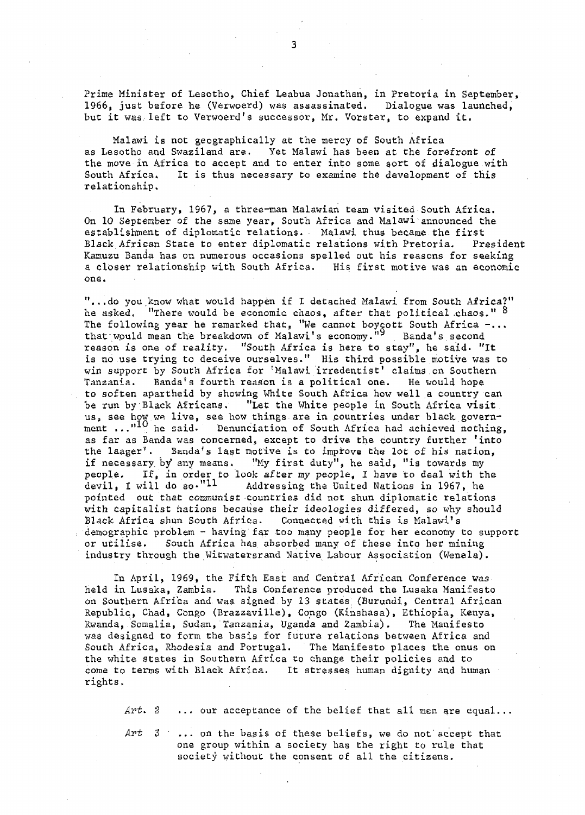Prime Minister of Lesotho, Chief Leabua Jonathan, in Pretoria in September, 1966, just before he (Verwoerd) was assassinated. Dialogue was launched, but it was left to Verwoerd's successor, Mr. Vorster, to expand it.

Malawi is not geographically at the mercy of South Africa as Lesotho and Swaziland are. Yet Malawi has been at the forefront of the move in Africa to accept and to enter into some sort of dialogue with South Africa. It is thus necessary to examine the development of this relationship.

In February, 1967, a three-man Malawian team visited South Africa. On 10 September of the same year, South Africa and Malawi announced the establishment of diplomatic relations. Malawi thus became the first Black African State to enter diplomatic relations with Pretoria. President Kamuzu Banda has on numerous occasions spelled out his reasons for seeking a closer relationship with South Africa. His first motive was an economic one.

"...do you know what would happen if I detached Malawi from South Africa?" he asked. "There would be economic chaos, after that political chaos."  $8$ The following year he remarked that, "We cannot boycott South Africa  $-...$ that would mean the breakdown of Malawi's economy."<sup>9</sup> Banda's second reason is one of reality. "South Africa is here to stay", he said. "It is no use trying to deceive ourselves." His third possible motive was to win support by South Africa for 'Malawi irredentist' claims on Southern Tanzania. Banda\*s fourth reason is a political one. He would hope to soften apartheid by showing White South Africa how well a country can be run by Black Africans. "Let the White people in South Africa visit us, see how we live, see how things are in countries under black government ..."<sup>10</sup> he said. Denunciation of South Africa had achieved nothing, as far as Banda was concerned, except to drive the country further 'into the laager<sup>'</sup>. Banda's last motive is to improve the lot of his nation, if necessary by any means. "My first duty", he said, "is towards my people. If, in order to look after my people, I have to deal with the devil, I will do so." $11$  Addressing the United Nations in 1967, he pointed out that communist countries did not shun diplomatic relations with capitalist nations because their ideologies differed, so why should Black Africa shun South Africa. Connected with this is Malawi's demographic problem - having far too many people for her economy to support or utilise. South Africa has absorbed many of these into her mining industry through the Witwatersrand Native Labour Association (Wenela).

In April, 1969, the Fifth East and Central African Conference was held in Lusaka, Zambia. This Conference produced the Lusaka Manifesto on Southern Africa and was. signed by 13 states, (Burundi, Central African Republic, Chad, Congo (Brazzaville), Congo (Kinshasa), Ethiopia, Kenya, Rwanda, Somalia, Sudan, Tanzania, Uganda and Zambia). The Manifesto was designed to form the basis for future relations between Africa and South Africa, Rhodesia and Portugal. The Manifesto places the onus on the white states in Southern Africa to change their policies and to come to terms with Black Africa. It stresses human dignity and human rights.

Art.  $2 \ldots$  our acceptance of the belief that all men are equal...

Art  $3 \cdot \ldots$  on the basis of these beliefs, we do not accept that one group within a society has the right to rule that society without the consent of all the citizens.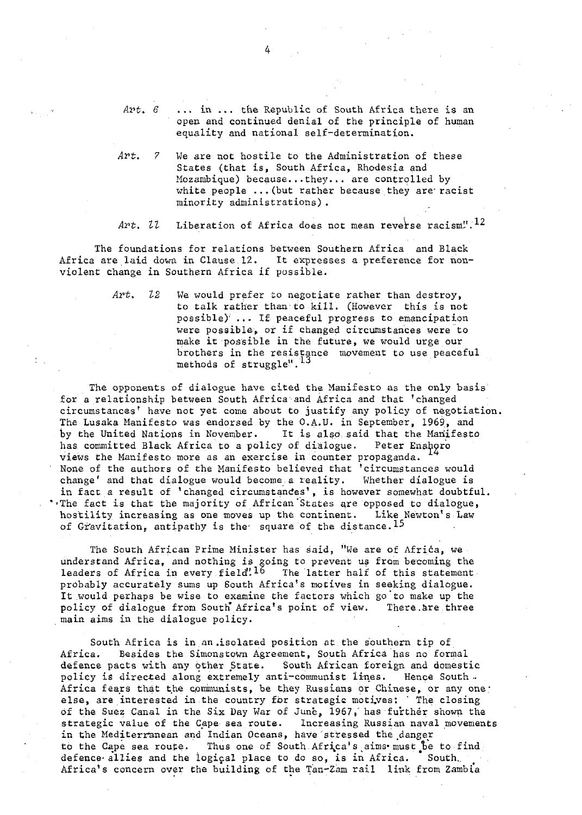Art. 6 ... in ... the Republic of South Africa there is an open and continued denial of the principle of human equality and national self-determination.

Art. 7 We are not hostile to the Administration of these States (that is, South Africa, Rhodesia and Mozambique) because...they... are controlled by white people ... (but rather because they are racist minority administrations) .

Art.  $U$  Liberation of Africa does not mean reverse racism".<sup>12</sup>

The foundations for relations between Southern Africa and Black Africa are laid down in Clause 12. It expresses a preference for nonviolent change in Southern Africa if possible.

> $Art.$   $22$  We would prefer to negotiate rather than destroy, to talk rather than to kill. (However this is not possible)<sup> $\ldots$ </sup> If peaceful progress to emancipation were possible, or if changed circumstances were to make it possible in the future, we would urge our brothers in the resistance movement to use peaceful methods of struggle".

The opponents of dialogue have cited the Manifesto as the only basis for a relationship between South Africa and Africa and that 'changed circumstances' have not yet come about to justify any policy of negotiation, The Lusaka Manifesto was endorsed by the O.A.U. in September, 1969, and by the United Nations in November. It is also said that the Manifesto has committed Black Africa to a policy of dialogue. Peter Enahoro views the Manifesto more as an exercise in counter propaganda. None of the authors of the Manifesto believed that 'circumstances would change' and that dialogue would become.a reality. Whether dialogue is in fact a result of 'changed circumstances', is however somewhat doubtful. . The fact is that the majority of African States are opposed to dialogue, hostility increasing as one moves up the continent. Like Newton's Law of Gravitation, antipathy is the square of the distance.<sup>15</sup>

The South African Prime Minister has said, "We are of Africa, we understand Africa, and nothing is going to prevent us from becoming the leaders of Africa in every field<sup>"16</sup> The latter half of this statement probably accurately sums up South Africa's motives in seeking dialogue. It would perhaps be wise to examine the factors which go to make up the policy of dialogue from South" Africa's point of view. There.are three main aims in the dialogue policy.

South Africa is in an .isolated position at the southern tip of Africa. Besides the Simonstown Agreement, South Africa has no formal defence pacts with any other State. South African foreign and domestic policy is directed along extremely anti-communist lines. Hence South . Africa fears that the communists, be they Russians or Chinese, or any one? else, are interested in the country for strategic motives: ' The closing of the Suez Canal in the Six Day War of June, 1967, has further shown the strategic value of the Cape sea route. Increasing Russian naval movements scrategic varue of the cape sea foure. Increasing Russian have<br>in the Mediterranean and Indian Oceans, have stressed the danger to the Cape sea route. Thus one of South Africa's aims must be to find defence allies and the logical place to do so, is in Africa. South. Africa's concern over the building of the Tan-Zam rail link from Zambia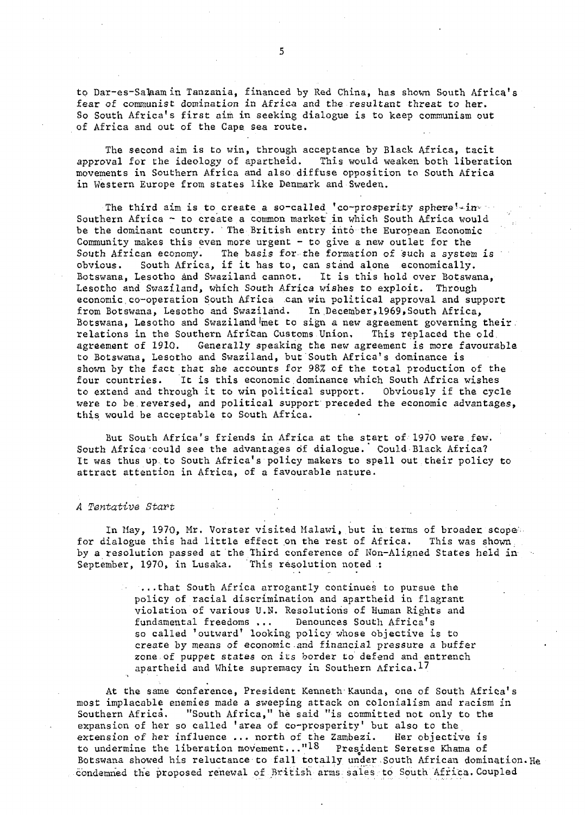to Dar-es-Salaam in Tanzania, financed by Red China, has shown South Africa's fear of communist domination in Africa and the resultant threat to her. So South Africa's first aim in seeking dialogue is to keep communism out of Africa and out of the Cape, sea route.

The second aim is to win, through acceptance by Black Africa, tacit approval for the ideology of apartheid. This would weaken both liberation movements in Southern Africa and also diffuse opposition to South Africa in Western Europe from states like Denmark and Sweden.

The third aim is to create a so-called 'co-prosperity sphere'-in-Southern Africa - to create a common market in which South Africa would be the dominant country. The British entry into the European Economic Community makes this even more urgent  $-$  to give a new outlet for the South African economy. The basis for-the formation of such a system is obvious. South Africa, if it has to, can stand alone economically. Botswana, Lesotho and Swaziland cannot. It is this hold over Botswana, Lesotho and Swaziland, which South Africa wishes to exploit. Through economic,co-operation South Africa can win political approval and support from Botswana, Lesotho and Swaziland. In December, 1969, South Africa, Botswana, Lesotho and Swaziland met to sign a new agreement governing their relations in the Southern African Customs Union, This replaced the old agreement of 1910. Generally speaking the new agreement is more favourable to Botswana, Lesotho and Swaziland, but South Africa's dominance is shown by the fact that she accounts for 98% of the total production of the four countries. It is this economic,dominance which South Africa wishes to extend and through it to win political support. Obviously if the cycle were to be reversed, and political support preceded the economic advantages, this would be acceptable to South Africa.

But South Africa's friends in Africa at the start of 1970 were few. South Africa could see the advantages of dialogue. Could Black Africa? It was thus up.to South Africa's policy makers to spell out their policy to attract attention in Africa, of a favourable nature.

#### A Tentative Start

In May, 1970, Mr. Vorster visited Malawi, but in terms of broader scope for dialogue this had little effect on the rest of Africa. This was shown, by a resolution passed at the Third conference of Non-Aligned States held in September, 1970, in Lusaka. This resolution noted :

> ...that South Africa arrogantly continues to pursue the policy of racial discrimination and apartheid in flagrant violation of various U.N. Resolutions of Human Rights and fundamental freedoms ... Denounces South Africa's so called 'outward' looking policy whose objective is to create by means of economic.and financial pressure a buffer zone of puppet states on its border to defend and entrench apartheid and White supremacy in Southern Africa. $17$

At the same conference, President Kenneth Kaunda, one of South Africa's most implacable enemies made a sweeping attack on colonialism and racism in Southern Africa. "South Africa," he said "is committed not only to the expansion of her so called 'area of co-prosperity' but also to the extension of her influence ... north of the Zambezi. Her objective is to undermine the liberation movement..."<sup>18</sup> President Seretse Khama of Botswana showed his reluctance to fall totally under South African domination.He condemned the proposed renewal o£ British arms, sales to South Africa.Coupled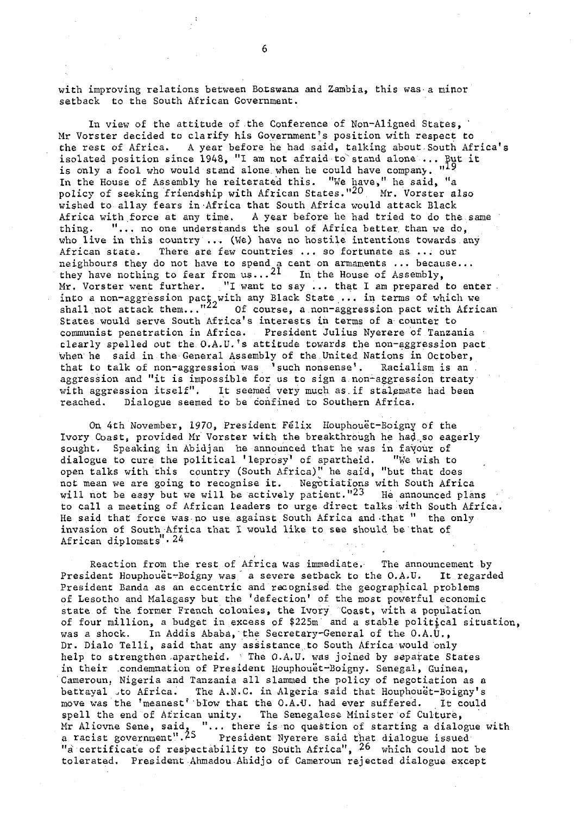with improving relations between Botswana and Gambia, this was a minor setback to the South African Government.

In view of the attitude of the Conference of Non-Aligned States. Mr Vorster decided to clarify his Government's position with respect to the rest of Africa. A year before he had said, talking about South Africa's isolated position since 1948, "I am not afraid to stand alone ... But it is only a fool who would stand alone when he could have company.  $"$ In the House of Assembly he reiterated this. "We have," he said, "a policy of seeking friendship with African States."<sup>20</sup> Mr. Vorster also wished to allay fears in Africa that South Africa would attack Black Africa with force at any time. A year before he had tried to do the same thing. "... no one understands the soul of Africa better than we do, who live in this country ... (We) have no hostile intentions towards any African state. There are few countries ... so fortunate as ... our neighbours they do not have to spend a cent on armaments  $\ldots$  because... they have nothing to fear from  $us...^{21}$  In the House of Assembly, Mr. Vorster went further. "I want to say ... that I am prepared to enter . into a non-aggression pact with any Black State ... in terms of which we shall not attack them..."<sup>22</sup> Of course, a non-aggression pact with African States would serve South Africa's interests in terms of a counter to communist penetration in Africa. President Julius Nyerere of Tanzania • clearly spelled out the O.A.U.'s attitude towards the non-aggression pact When he said in the General Assembly of the United Nations in October, that to talk of non-aggression was \* such nonsense'. Racialism is an . aggression and "it is impossible for us to sign a non-aggression treaty with aggression itself". It seemed very much as.if stalemate had been reached. Dialogue seemed to be confined to Southern Africa.

On 4th November, 1970, President Felix Houphouet-Boigny of the Ivory Coast, provided Mr Vorster with the breakthrough he had so eagerly sought. Speaking in Abidjan he announced that he was in favour of dialogue to cure the political 'leprosy' of apartheid. "We wish to open talks with this country (South Africa)" he said, "but that does not mean we are going to recognise it. Negotiations with South Africa will not be easy but we will be actively patient." $23$  He announced plans to call a meeting of African leaders to urge direct talks with South Africa. He said that force was no use against South Africa and that " the only invasion of South Africa that I would like to see should be that of African diplomats" $\cdot$  24

Reaction from the rest of Africa was immediate. The announcement by President Houphouët-Boigny was a severe setback to the O.A.U. It regarded President Banda as an eccentric and recognised the geographical problems of Lesotho and Malagasy but the 'defection' of the most powerful economic state of the former French colonies, the Ivory Coast, with a population of four million, a budget in excess of \$225m and a stable political situation, was a shock. In Addis Ababa,'the Secretary-General of the O.A.U., Dr. Dialo Telli, said that any assistance to South Africa would only help to strengthen apartheid. The O.A.U. was joined by separate States in their .condemnation of President Houphouet-Boigny. Senegal, Guinea, Cameroun; Nigeria and Tanzania all slammed the policy of negotiation as a betrayal ,to Africa. The A.N.C. in Algeria said that Houphouët-Boigny's move was the 'meanest''blow that the O.A.U. had ever suffered. It could spell the end of African unity. The Senegalese Minister of Culture, Mr Aliovne Sene, said, "... there is no question of starting a dialogue with a racist government".<sup>25</sup> President Nyerere said that dialogue issued "a certificate of respectability to South Africa",  $26$  which could not be tolerated. President Ahmadou Ahidjo of Cameroun rejected dialogue except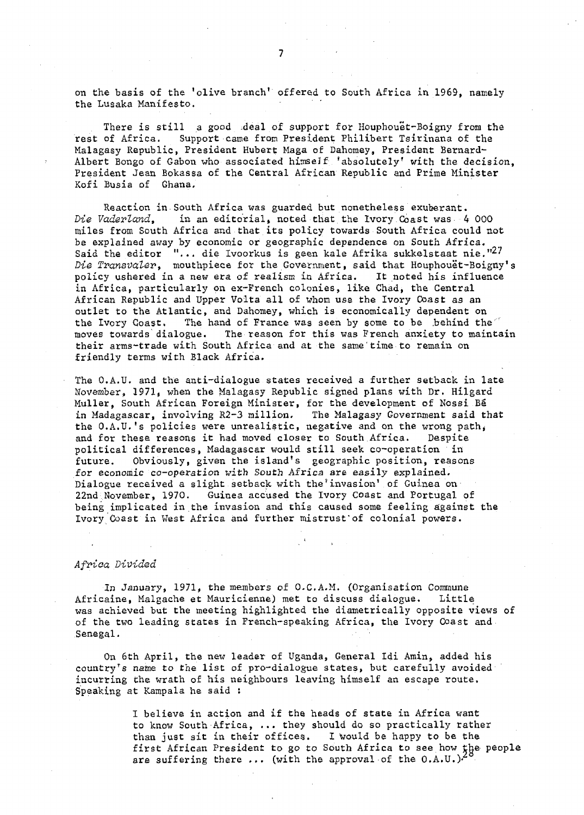on the basis of the 'olive branch' offered to South Africa in 1969, namely the Lusaka Manifesto.

There is still a good :deal of support for Houphouet-Boigny from the rest of Africa. Support came from President Philibert Tsirinana of the Malagasy Republic, President Hubert: Maga of Dahomey, President Bernard-Albert Bongo of Gabon who associated himseJf 'absolutely' with the decision, President Jean Bokassa of the Central African Republic and Prime Minister Kofi Busia of Ghana.

Reaction in South Africa was guarded but nonetheless exuberant.<br>Die Vaderland, in an editorial, noted that the Ivory Coast was 4 in an editorial, noted that the Ivory Coast was 4 000 miles from South Africa and that its policy towards South Africa could not be explained away by economic or geographic dependence on South Africa. Said the editor  $"...$  die Ivoorkus is geen kale Afrika sukkelstaat nie."<sup>27</sup> Die Transvaler, mouthpiece for the Government, said that Houphouët-Boigny's policy ushered in a new era of realism in Africa. It noted his influence in Africa, particularly on ex-French colonies, like Chad, the Central African Republic and Upper Volta all of whom use the Ivory Coast as an outlet to the Atlantic, and Dahomey, which is economically dependent on the Ivory Coast. The hand of France was seen by some to be .behind the" moves towards dialogue. The reason for this was French anxiety to maintain their arms-trade with South Africa and at the same time to remain on friendly terms with Black Africa.

The O.A.U. and the anti-dialogue states received a further setback in late November, 1971, when the Malagasy Republic signed plans with Dr. Hilgard Muller, South African Foreign Minister, for the development of Nossi Be in Madagascar, involving R2-3 million. The Malagasy Government said that the  $0.A.U.'s$  policies were unrealistic, negative and on the wrong path, and for these reasons it had moved closer to South Africa. Despite political differences, Madagascar would still seek co-operation in future. Obviously, given the island's geographic position, reasons for economic co-operation with South Africa are easily explained. Dialogue received a slight setback with the'invasion' of Guinea on 22nd November, 1970. Guinea accused the Ivory Coast and Portugal of being implicated in the invasion and this caused some feeling against the Ivory Coast in West Africa and further mistrust'of colonial powers.

#### Africa Divided

In January, 1971, the members of O.C.A.M. (Organisation Commune Africaine, Malgache et Mauricienne) met to discuss dialogue. Little was achieved but the meeting highlighted the diametrically opposite views of of the two leading states in French-speaking Africa, the Ivory Coast and Senegal.

On 6th April, the new leader of Uganda, General Idi Amin, added his country's name to the list of pro-dialogue states, but carefully avoided incurring the wrath of his neighbours leaving himself an escape route. Speaking at Kampala he said :

> I believe in action and if the heads of state in Africa want to know South Africa, ... they should do so practically rather than just sit in their offices. I would be happy to be the first African President to go to South Africa to see how the people are suffering there ... (with the approval of the O.A.U.)•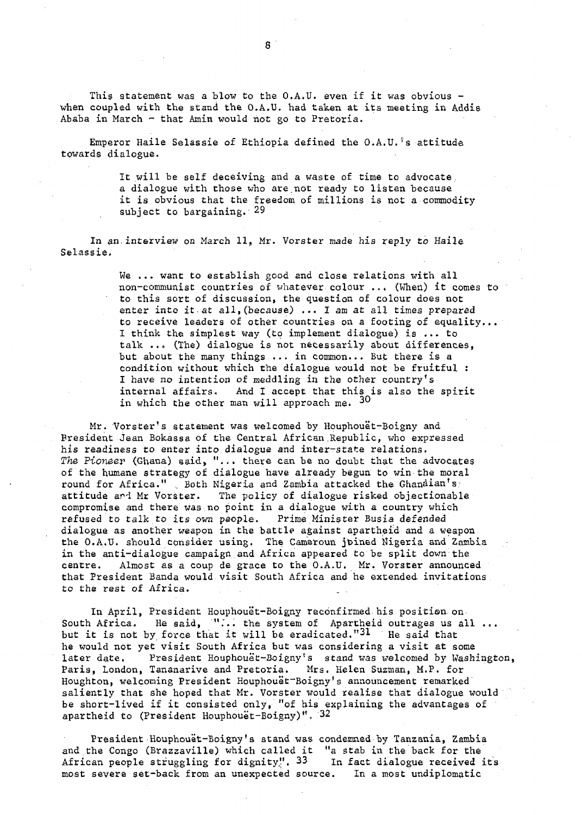This statement was a blow to the  $0. A. U.$  even if it was obvious when coupled with the stand the O.A.U. had taken at its meeting in Addis Ababa in March - that Amin would not go to Pretoria.

Emperor Haile Selassie of Ethiopia defined the O.A.U.'s attitude towards dialogue.

> It will be self deceiving and a waste of time to advocate a dialogue with those who are.not ready to listen because it is obvious that the freedom of millions is not a commodity subject to bargaining. 29

In an interview on March 11, Mr. Vorster made his reply to Haile Selassie,

> We ... want to establish good and close relations with all non-communist countries of whatever colour ..• (When) it comes to to this sort of discussion, the question of colour does not enter into it at all,(because) ... I am at all times prepared to receive leaders of other countries on a footing of equality... I think the simplest way (to implement dialogue) is ... to talk ..» (The) dialogue is not necessarily about differences, but about the many things ... in common... But there is a condition without which the dialogue would not be fruitful : I have no intention of meddling in the other country's internal affairs. And I accept that this is also the spirit in which the other man will approach me.  $30$

Mr. Vorster's statement was welcomed by Houphouet-Boigny and President Jean Bokassa of the Central African.Republic, who expressed his readiness to enter into dialogue and inter-state relations. The Pioneer (Ghana) said, "... there can be no doubt that the advocates of the humane strategy of dialogue have already begun to win the moral round for Africa." . Both Nigeria and Zambia attacked the Ghanaian's attitude and Mr Vorster. The policy of dialogue risked objectionable compromise and there was no point in a dialogue with a country which refused to talk to its own people. Prime Minister Busia defended dialogue as another weapon in the battle against apartheid and a weapon the O.A.U. should consider using. The Cameroun joined Nigeria and Zambia in the anti-dialogue campaign and Africa appeared to be split down the centre. Almost as a coup de grace to the O.A.U. Mr. Vorster announced that President Banda would visit South Africa and he extended invitations to the rest of Africa.

In April, President Houphouët-Boigny reconfirmed his position on South Africa. He said, "... the system of Apartheid outrages us all ... but it is not by force that it will be eradicated."31 He said that he would not yet visit South Africa but was considering a visit at some later date. President Houphouet-Boigny's stand was welcomed by Washington, Paris, London, Tananarive and Pretoria. Mrs. Helen Suzman, M.P. for Houghton, welcoming President Houphouet-Boigny's announcement remarked saliently that she hoped that Mr. Vorster would realise that dialogue would be short-lived if it consisted only, "of his explaining the advantages of apartheid to (President Houphouet-Boigny)", 32

President Houphouet-Boigny's stand was condemned by Tanzania, Zambia and the Congo (Brazzaville) which called it "a stab in the back for the African people struggling for dignity".  $33$  in fact dialogue received its most severe set-back from an unexpected source. In a most undiplomatic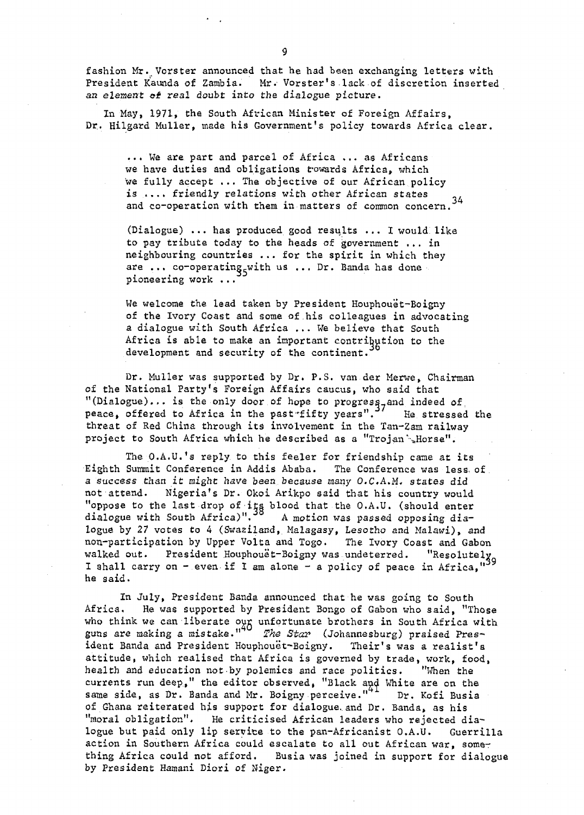fashion Mr.Vorster announced that he had been exchanging letters with President Kaunda of Zambia. Mr. Vorster's lack of discretion inserted an element of real doubt into the dialogue picture.

In May, 1971, the South African Minister of Foreign Affairs, Dr. Hilgard Muller, made his Government's policy towards Africa clear.

... We are part and parcel of Africa ... as Africans we have duties and obligations t'owards Africa, which we fully accept ... The objective of our African policy is .... friendly relations with other African states and co-operation with them in matters of common concern.<sup>34</sup>

(Dialogue) ... has produced good results ... I would like to pay tribute today to the heads of government ... in neighbouring countries ... for the spirit in which they are ... co-operating with us ... Dr. Banda has done pioneering work ...

We welcome the lead taken by President Houphouet-Boigny of the Ivory Coast and some of.his colleagues in advocating a dialogue with South Africa ... We believe that South Africa is able to make an important contribution to the development and security of the continent.

Dr. Muller was supported by Dr. P.S. van der Merwe, Chairman of the National Party<sup>f</sup>s Foreign Affairs caucus, who said that "(Dialogue)... is the only door of hope to progress, and indeed of peace, offered to Africa in the past fifty years".<sup>37</sup> He stressed the threat of Red China through its involvement in the Tan-Zam railway project to South Africa which he described as a "Trojan". Horse".

The O.A.U.'s reply to this feeler for friendship came at its Eighth Summit Conference in Addis Ababa. The Conference was less of a success than it might have been because many O.C-A.M. states did not attend. Nigeria's Dr. Okoi Arikpo said that his country would "oppose to the last drop of its blood that the O.A.U. (should enter dialogue with South Africa)".<sup>30</sup> A motion was passed opposing dialogue by 27 votes to 4 (Swaziland, Malagasy, Lesotho and Malawi), and non-participation by Upper Volta and Togo. The Ivory Coast and Gabon walked out. President Houphouet-Boigny was undeterred. "Resolutely I shall carry on - even if I am alone - a policy of peace in Africa." he said.

In July, President Banda announced that he was going to South Africa, He was supported by President Bongo of Gabon who said, "Those who think we can liberate our unfortunate brothers in South Africa with guns are making a mistake."<sup>"</sup> The Star (Johannesburg) praised President Banda and President Houphouet-Boigny. Their's was a realist's attitude, which realised that Africa is governed by trade, work, food, health and education not by polemics and race politics. "When the currents run deep," the editor observed, "Black and White are on the same side, as Dr. Banda and Mr. Boigny perceive."<sup>"</sup> Dr. Kofi Busia of Ghana reiterated his support for dialogue, and Dr. Banda, as his "moral obligation". He criticised African leaders who rejected dialogue but paid only lip servite to the pan-Africanist O.A.U. Guerrilla action in Southern Africa could escalate to all out African war, something Africa could not afford. Busia was joined in support for dialogue by President Hamani Diori of Niger.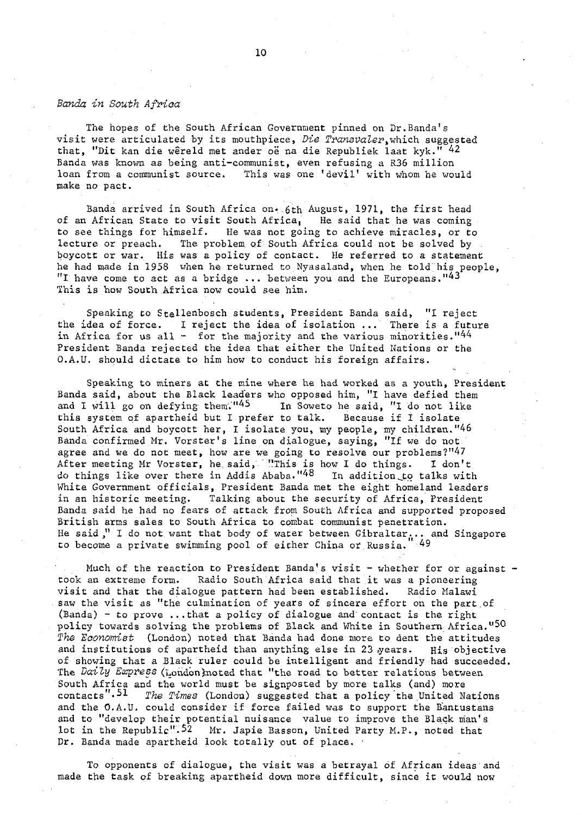#### Banda in South Africa

The hopes of the South African Government pinned on Dr.Banda's visit were articulated by its mouthpiece, Die Transvaler, which suggested that, "Dit kan die wêreld met ander oë na die Republiek laat kyk." 42 Banda was known as being anti-communist, even refusing a R36 million loan from a communist source. This was one 'devil' with whom he would make no pact.

Banda arrived in South Africa on 6th August, 1971, the first head of an African State to visit South Africa, He said that he was coming to see things for himself. He was not going to achieve miracles, or to lecture or preach. The problem of South Africa could not be solved by boycott or war. His was a policy of contact. He referred to a statement he had made in 1958 when he returned to Nyasaland, when he told his people,  $^{\prime\prime}$ I have come to act as a bridge ... between you and the Europeans." $^{14\,3}$ This is how South Africa now could see him.

Speaking to Stellenbosch students, President Banda said, "I reject the idea of force. I reject the idea of isolation ... There is a future in Africa for us all - for the majority and the various minorities." $44$ President Banda rejected the idea that either the United Nations or the O.A.U. should dictate to him how to conduct his foreign affairs.

Speaking to miners at the mine where he had worked as a youth, President Banda said, about the Black leaders who opposed him, "I have defied them and I will go on defying them.<sup>"45</sup> In Soweto he said, "I do not like this system of apartheid but I prefer to talk. Because if I isolate this system of apartheid but I prefer to talk. South Africa and boycott her, I isolate you, my people, my children."46 Banda confirmed Mr. Vorster's line on dialogue, saying, "If we do not agree and we do not meet, how are we going to resolve our problems?"47 After meeting Mr Vorster, he said, "This is how I do things. I don't do things like over there in Addis Ababa."<sup>48</sup> In addition to talks with White Government officials, President Banda met the eight homeland leaders in an historic meeting. Talking about the security of Africa, President Banda said he had no fears of attack from South Africa and supported proposed British arms sales to South Africa to combat communist penetration. He said," I do not want that body of water between Gibraltar... and Singapore to become a private swimming pool of either China or Russia.

Much of the reaction to President Banda's visit - whether for or against took an extreme form. Radio South Africa said that it was a pioneering visit and that the dialogue pattern had been established. Radio Malawi saw the visit as "the culmination of years of sincere effort on the part,of (Banda) - to prove ...that a policy of dialogue and contact is the right policy towards solving the problems of Black and White in Southern Africa."50 The Economist (London) noted that Banda had done more to dent the attitudes and institutions of apartheid than anything else in 23 years. His objective of showing that a Black ruler could be intelligent and friendly had succeeded, The Daily Express (London) noted that "the road to better relations between South Africa and the world must be signposted by more talks (and) more contacts".<sup>51</sup> The Times (London) suggested that a policy the United Nations and the O.A.U. could consider if force failed was to support the Bantustans and to "develop their potential nuisance value to improve the Black man's lot in the Republic".<sup>52</sup> Mr. Japie Basson, United Party M.P., noted that Dr. Banda made apartheid look totally out of place. •

To opponents of dialogue, the visit was a betrayal of African ideas'and made the task of breaking apartheid down more difficult, since it would now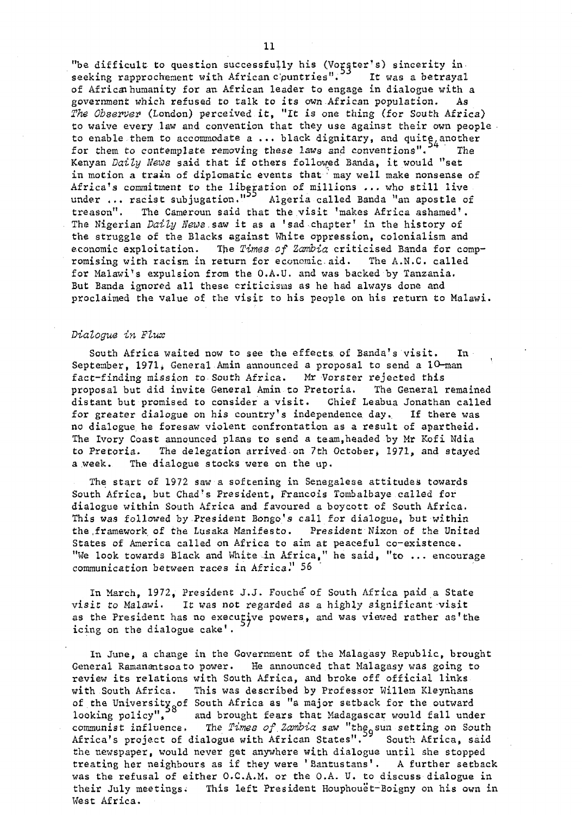"be difficult to question successfully his (Vorster's) sincerity in seeking rapprochement with African c'puntries". It was a betrayal of African humanity for an African leader to engage in dialogue with a government which refused to talk to its own African population. As The Observer (London) perceived it, "It is one thing (for South Africa) to waive every law and convention that they use against their own people to enable them to accommodate a ... black dignitary, and quite another for them to contemplate removing these laws and conventions". The Kenyan Daily News said that if others followed Banda, it would "set in motion a train of diplomatic events that may well make nonsense of Africa's commitment to the liberation of millions ... who still live under ... racist subjugation."<sup>33</sup> Algeria called Banda "an apostle of treason". The Cameroun said that the visit 'makes Africa ashamed'. The Nigerian Daily News saw it as a 'sad chapter' in the history of the struggle of the Blacks against White oppression, colonialism and economic exploitation. The Times of Zambia criticised Banda for compromising with racism in return for economic.aid. The A.N.C. called for Malawi\*s expulsion from the O.A.U. and was backed by Tanzania. But Banda ignored all these criticisms as he had always done and proclaimed the value of the visit to his people on his return to Malawi.

#### Dialogue in Flux

South Africa waited now to see the effects of Banda's visit. In September, 1971, General Amin announced a proposal to send a 10-man fact-finding mission to South Africa. Mr Vorster rejected this proposal but did invite General Amin to Pretoria. The General remained distant but promised to consider a visit. Chief Leabua Jonathan called for greater dialogue on his country's independence day. If there was no dialogue he foresaw violent confrontation as a result of apartheid. The Ivory Coast announced plans to send a team,headed by Mr Kofi Ndia to Pretoria. The delegation arrived on 7th October, 1971, and stayed a week. The dialogue stocks were on the up.

The start of 1972 saw a softening in Senegalese attitudes towards South Africa, but Chad's President, Francois Tombalbaye called for dialogue within South Africa and favoured a boycott of South Africa. This was followed by President Bongo's call for dialogue, but within the .framework of the Lusaka Manifesto. President Nixon of the United States of America called on Africa to aim at peaceful co-existence. "We look towards Black and White-in Africa," he said, "to ... encourage communication between races in Africa." 56

In March, 1972, President J.J. Fouche of South Africa paid a State visit to Malawi. It was not regarded as a highly significant visit as the President has no executive powers, and was viewed rather as'the icing on the dialogue cake'.

In June, a change in the Government of the Malagasy Republic, brought General Ramanantsoato power. He announced that Malagasy was going to review its relations with South Africa, and broke off official links with South Africa. This was described by Professor Willem Kleynhans of the University of South Africa as "a major setback for the outward looking policy", and brought fears that Madagascar would fall under communist influence. The Times of Zambia saw "the sun setting on South Africa's project of dialogue with African States".<sup>33</sup> South Africa, said the newspaper, would never get anywhere with dialogue until she stopped treating her neighbours as if they were 'Eantustans'. A further setback was the refusal of either O.C.A.M. or the O.A. U. to discuss dialogue in their July meetings; This left President Houphouet-Boigny on his own in West Africa.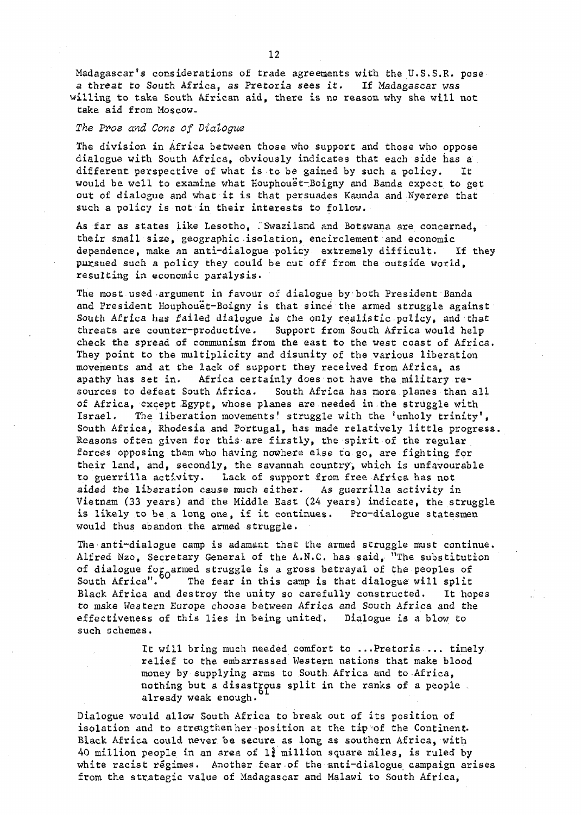Madagascar's considerations of trade agreements with the U.S.S.R. pose a threat to South Africa^ as Pretoria sees it. I£ Madagascar was willing to take South African aid, there is no reason why she will not take aid from Moscow.

#### The Pros and Cons of Dialogue

The division in Africa between those who support and those who oppose dialogue with South Africa, obviously indicates that each side has a different perspective of what is to be gained by such a policy. It would be well to examine what Houphouet-Boigny and Banda expect to get out of dialogue and what it is that persuades Kaunda and Nyerere that such a policy is not in their interests to follow.

As far as states like Lesotho, 'Swaziland and Botswana are concerned, their small size, geographic isolation, encirclement and economic dependence, make an anti-dialogue policy extremely difficult. If they pursued such a policy they could be cut off from the outside world, resulting in economic paralysis.

The most used-argument in favour of dialogue by both President Banda and President Houphouet-Boigny is that since the armed struggle against South Africa has failed dialogue is the only realistic policy, and that threats are counter-productive. Support from South Africa would help check the spread of communism from the east to the west coast of Africa. They point to the multiplicity and disunity of the various liberation movements and at the lack of support they received from Africa, as apathy has set in. Africa certainly does not have the military resources to defeat South Africa. South Africa has more planes than all of Africa, except Egypt, whose planes are needed in the struggle with Israel. The liberation movements' struggle with the 'unholy trinity'. South Africa, Rhodesia and Portugal, has made relatively little progress Reasons often given for this are firstly, the spirit of the regular forces opposing them who having nowhere else to go, are fighting for their land, and, secondly, the savannah country, which is unfavourable to guerrilla activity. Lack of support from free Africa has not aided the liberation cause much either. As guerrilla activity in Vietnam (33 years) and the Middle East (24 years) indicate, the struggle is likely to be a long one, if it continues. Pro-dialogue statesmen would thus abandon the armed struggle.

The anti-dialogue camp is adamant that the armed struggle must continue. Alfred Nzo, Secretary General of the A.N.C. has said, "The substitution of dialogue for armed struggle is a gross betrayal of the peoples of South Africa". The fear in this camp is that dialogue will split Black Africa and destroy the unity so carefully constructed. It hopes to make Western Europe choose between Africa and South Africa and the effectiveness of this lies in being united. Dialogue is a blow to such schemes.

> It will bring much needed comfort to ...Pretoria ... timely relief to the embarrassed Western nations that make blood money by supplying arms to South, Africa and to Africa, nothing but a disastrous split in the ranks of a people already weak enough.

Dialogue would allow South Africa to break out of its position of isolation and to strengthen her-position at the tip of the Continent. Black Africa could never be secure as long as southern Africa, with 40 million people in an area of  $1<sup>3</sup>$  million square miles, is ruled by white racist regimes. Another fear of the anti-dialogue campaign arises from the strategic value of Madagascar and Malawi to South Africa,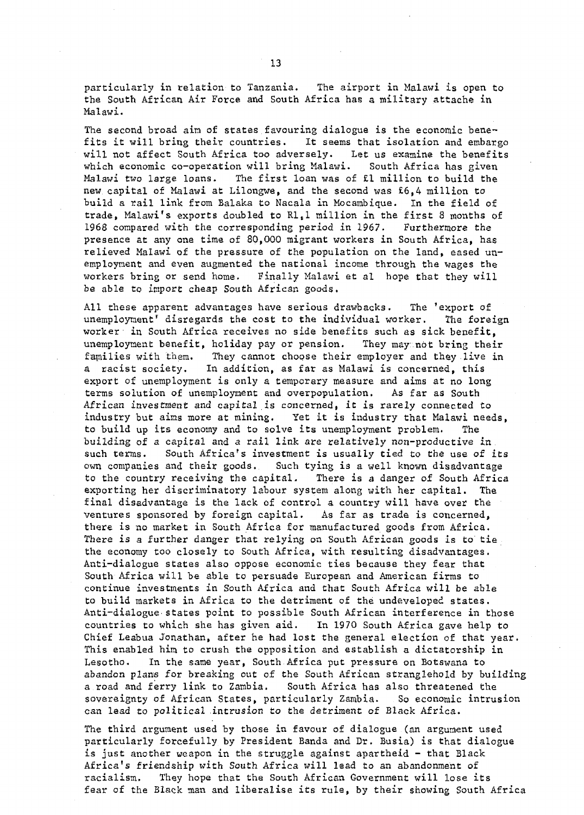particularly in relation to Tanzania. The airport in Malawi is open to the South African Air Force and South Africa has a military attache in Malawi.

The second broad aim of states favouring dialogue is the economic benefits it will bring their countries. It seems that isolation and embargo will not affect South Africa too adversely. Let us examine the benefits which economic co-operation will bring Malawi. South Africa has given Malawi two large loans. The first loan was of £1 million to build the new capital of Malawi at Lilongwe, and the second was £6,4 million to build a rail link from Balaka to Nacala in Mocambique. In the field of trade, Malawi's exports doubled to Rl.l million in the first 8 months of 1968 compared with the corresponding period in 1967. Furthermore the presence at any one time of 80,000 migrant workers in South Africa, has relieved Malawi of the pressure of the population on the land, eased unemployment and even augmented the national income through the wages the workers bring or send home. Finally Malawi et al hope that they will be able to import cheap South African goods.

All these apparent advantages have serious drawbacks. The 'export of unemployment' disregards the cost to the individual worker. The foreign worker in South Africa receives no side benefits such as sick benefit, unemployment benefit, holiday pay or pension. They may:.not bring their families with them. They cannot choose their employer and they live in a racist society. In addition, as far as Malawi is concerned, this export of unemployment is only a temporary measure and aims at no long terms solution of unemployment and overpopulation. As far as South African investment and capital is concerned, it is rarely connected to industry but aims more at mining. Yet it is industry that Malawi needs, to build up its economy and to solve its unemployment problem. The building of a capital and a rail link are relatively non-productive in. such terms. South Africa's investment is usually tied to the use of its own companies and their goods. Such tying is a well known disadvantage to the country receiving the capital. There is a danger of South Africa exporting her discriminatory labour system along with her capital. The final disadvantage is the lack of control a country will have over the ventures sponsored by foreign capital. As far as trade is concerned, there is no market in South Africa for manufactured goods from Africa. There is a further danger that relying on South African goods is to tie the economy too closely to South Africa, with resulting disadvantages. Anti-dialogue states also oppose economic ties because they fear that South Africa will be able to persuade European and American firms to continue investments in South Africa and that South Africa will be able to build markets in Africa to the detriment of the undeveloped states. Anti-dialogue> states point to possible South African interference in those countries to which she has given aid. In 1970 South Africa gave help to Chief Leabua Jonathan, after he had lost the general election of that year. This enabled him to crush the opposition and establish a dictatorship in Lesotho. In the same year, South Africa put pressure on Botswana to abandon plans for breaking out of the South African stranglehold by building a road and ferry link to Zambia. South Africa has also threatened the sovereignty of African States, particularly Zambia. So economic intrusion can lead to political intrusion to the detriment of Black Africa.

The third argument used by those in favour of dialogue (an argument used particularly forcefully by President Banda and Dr. Busia) is that dialogue is just another weapon in the struggle against apartheid - that Black Africa's friendship with South Africa will lead to an abandonment of racialism. They hope that the South African Government will lose its fear of the Black man and liberalise its rule, by their showing South Africa

13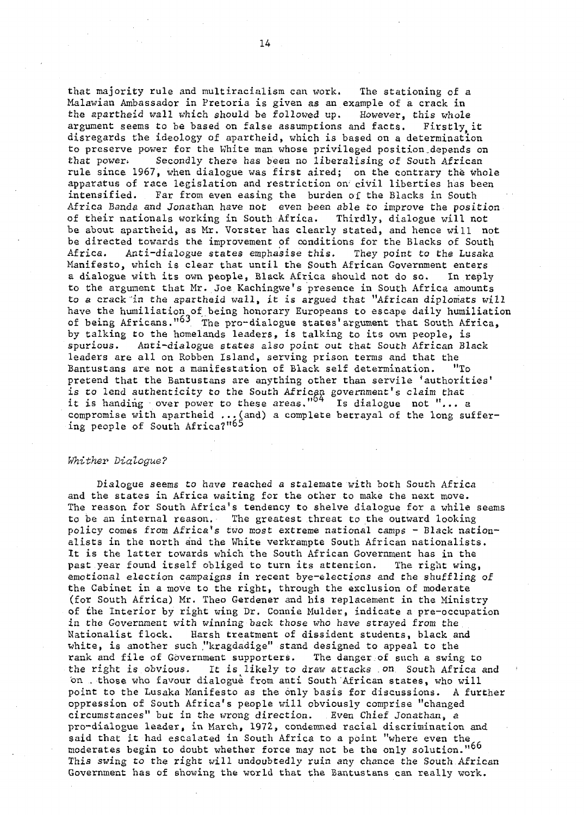that majority rule and multiracialism can work. The stationing of a Malawian Ambassador in Pretoria is given as an example of a crack in the apartheid wall which should be followed up. However, this whole argument seems to be based on false assumptions and facts. Firstly it disregards the ideology of apartheid, which is based on a determination to preserve power for the White man whose privileged position .depends on that power. Secondly there has been no liberalising of South African rule since 1967, when dialogue was first aired; on the contrary the whole apparatus of race legislation and restriction on- civil liberties has been intensified. Far from even easing the burden of the Blacks in South Africa Banda and Jonathan have not even been able to improve the position of their nationals working in South Africa. Thirdly, dialogue will not be about apartheid, as Mr. Vorster has clearly stated, and hence will not be directed towards the improvement of conditions for the Blacks of South Africa. Anti-dialogue states emphasise this. They point to the Lusaka Manifesto, which is clear that until the South African Government enters a dialogue with its own people, Black Africa should not do so. In reply to the argument that Mr. Joe Kachingwe's presence in South Africa amounts to a crack "in the apartheid wall, it is argued that "African diplomats will have the humiliation of being honorary Europeans to escape daily humiliation of being Africans. $^{163}$  The pro-dialogue states' argument that South Africa, by talking to the homelands leaders, is talking to its own people, is spurious. Anti-dialogue states also point out that South African Black leaders are all on Robben Island, serving prison terms and that the Bantustans are not a manifestation of Black self determination. "To pretend that the Bantustans are anything other than servile 'authorities' is to lend authenticity to the South African government's claim that it is handing over power to these areas,  $104$  Is dialogue not  $\mathsf{F}_{\alpha\beta}$  a compromise with apartheid ...(and) a complete betrayal of the long suffering people of South Africa?"65

#### Whither Dialogue?

Dialogue seems to have reached a stalemate with both South Africa and the states in Africa waiting for the other to make the next move. The reason for South Africa's tendency to shelve dialogue for a while seems to be an internal reason. The greatest threat to the outward looking policy comes from Africa\*s two most extreme national camps - Black nationalists in the north and the White verkrampte South African nationalists. It is the latter towards which the South African Government has in the past year found itself obliged to turn its attention. The right wing, emotional election campaigns in recent bye-elections and the shuffling of the Cabinet in a move to the right, through the exclusion of moderate (for South Africa) Mr. Theo Gerdener and his replacement in the Ministry of the Interior by right wing Dr. Connie Mulder,, indicate a pre-occupation in the Government with winning back those who have strayed from the Nationalist flock. Harsh treatment of dissident students, black and white, is another such "kragdadige" stand designed to appeal to the rank and file of Government supporters. The danger of such a swing to the right is obvious. It is likely to draw attacks .on South Africa and on . those who favour dialogue from anti South African states, who will point to the Lusaka Manifesto as the only basis for discussions. A further oppression of South Africa's people will obviously comprise "changed circumstances" but in the wrong direction. Even Chief Jonathan, a pro-dialogue leader, in March, 1972, condemned racial discrimination and said that it had escalated in South Africa to a point "where even the moderates begin to doubt whether force may not be the only solution."66 This swing to the right will undoubtedly ruin any chance the South.African Government has of showing the world that the Bantustans can really work.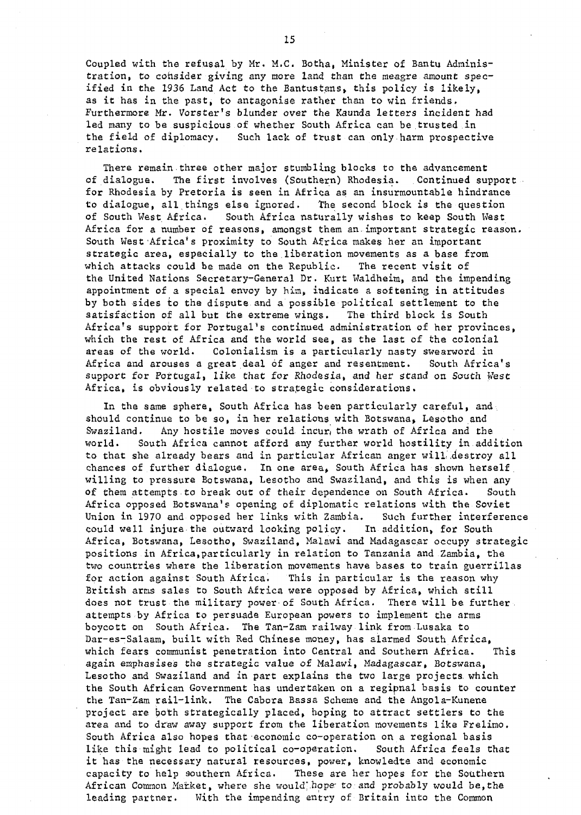Coupled with the refusal by Mr. M.C. Botha, Minister of Bantu Administration, to consider giving any more land than the meagre amount specified in the 1936 Land Act to the Bantustans, this policy is likely, as it has in the past, to antagonise rather than to win friends. Furthermore Mr. Vorster's blunder over the Kaunda letters incident had led many to be suspicious of whether South Africa can be trusted in the field of diplomacy. Such lack of trust can only harm prospective relations.

There remain three other major stumbling blocks to the advancement of dialogue. The first involves (Southern) Rhodesia. Continued support for Rhodesia by Pretoria is seen in Africa as an insurmountable hindrance to dialogue, all things else ignored. The second block is the question of South West Africa. South. Africa naturally wishes to keep South West Africa for a number of reasons, amongst them an.important strategic reason. South West Africa's proximity to South Africa makes her an important strategic area, especially to the liberation movements as a base from which attacks could be made on the Republic. The recent visit of the United Nations Secretary-General Dr. Kurt Waldheim, and the impending appointment of a special envoy by him, indicate a softening in attitudes by both sides to the dispute and a possible political settlement to the satisfaction of all but the extreme wings. The third block is South Africa's support for Portugal's continued administration of her provinces, which the rest of Africa and the world see, as the last of the colonial areas of the world. Colonialism is a particularly nasty swearword in Africa and arouses a great deal of anger and resentment. South Africa's support for Portugal, like that for Rhodesia, and her stand on South West Africa, is obviously related to strategic considerations.

In the same sphere, South Africa has been particularly careful, and should continue to be so, in her relations with Botswana, Lesotho and Swaziland. Any hostile moves could incur, the wrath of Africa and the world. South Africa cannot afford any further world hostility in addition to that she already bears and in particular African anger will destroy all chances of further dialogue. In one area, South Africa has shown herself willing to pressure Botswana, Lesotho and Swaziland, and this is when any of them attempts to break out of their dependence on South Africa. South Africa opposed Botswana's opening of diplomatic relations with the Soviet Union in 1970 and opposed her links with Zambia. Such further interference could well injure the outward looking policy. In addition, for South Africa, Botswana, Lesotho, Swaziland, Malawi and Madagascar occupy strategic positions in Africa,particularly in relation to Tanzania and Zambia, the two countries where the liberation movements have bases to train guerrillas for action against South Africa. This in particular is the reason why British arms sales to South Africa were opposed by Africa, which still does not trust the military power of South Africa. There will be further attempts by Africa to persuade European powers to implement the arms boycott on South Africa. The Tan-Zam railway link from Lusaka to Dar-es-Salaam, built with Red Chinese money, has alarmed South Africa, which fears communist penetration into Central and Southern Africa. This again emphasises the strategic value of Malawi, Madagascar, Botswana, Lesotho and Swaziland and in part explains the two large projects, which the South African Government has undertaken on a regipnal basis to counter the Tan-Zam rail-link. The Cabora Bassa Scheme and the Angola-Kunene project are both strategically placed, hoping to attract settlers to the area and to draw away support from the liberation movements like Frelimo. South Africa also hopes that economic co-operation on a regional basis like this might lead to political co-operation. South Africa feels that it has the necessary natural resources, power, knowledte and economic capacity to help southern Africa. These are her hopes for the Southern African Common Market, where she would hope to and probably would be, the leading partner. With the impending entry of Britain into the Common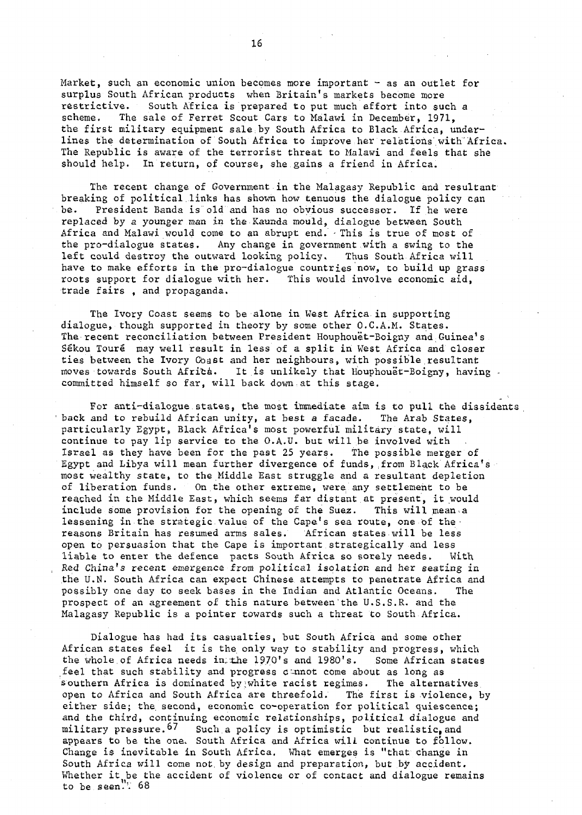Market, such an economic union becomes more important - as an outlet for surplus South African products when Britain's markets become more restrictive. South Africa is prepared to put much effort into such a scheme. The sale of Ferret Scout Cars to Malawi in December, 1971, the first military equipment sale by South Africa to Black Africa, underlines the determination of South Africa to improve her relations with'Africa. The Republic is aware of the terrorist threat to Malawi and feels that she should help. In return, of course, she gains a friend in Africa.

The recent change of Government in the Malagasy Republic and resultant breaking of political links has shown how tenuous the dialogue policy can be. President Banda is old and has no obvious successor. If he were replaced by a younger man in the Kaunda mould, dialogue between South Africa and Malawi would come to an abrupt end. • This is true of most of the pro-dialogue states. Any change in government with a swing to the left could destroy the outward lopking policy. Thus South Africa will have to make efforts in the pro-dialogue countries now, to build up grass roots support for dialogue with her. This would involve economic aid, trade fairs , and propaganda.

The Ivory Coast seems to be alone in West Africa in supporting dialogue, though supported in theory by some other O.C.A.M. States. The recent reconciliation between President Houphouet-Boigny and Guinea's Sékou Touré may well result in less of a split in West Africa and closer ties between the Ivory Coast and her neighbours, with possible resultant moves towards South Africa. It is unlikely that Houphouet-Boigny, having committed himself so far, will back down at this stage.

For anti-dialogue states, the most immediate aim is to pull the dissidents back and to rebuild African unity, at best a facade. The Arab States, particularly Egypt, Black Africa's most powerful military state, will continue to pay lip service to the O.A.U. but will be involved with Israel as they have been for the past 25 years. The possible merger of Egypt and Libya will mean further divergence of funds, from Black Africa's most wealthy state, to the Middle East struggle and a resultant depletion of liberation funds. On the other extreme, were any settlement to be reached in the Middle East, which seems far distant at present, it would include some provision for the opening of the Suez. This will mean a lessening in the strategic value of the Cape's sea route, one of the reasons Britain has resumed arms sales. African states will be less open to persuasion that the Cape is important strategically and less liable to enter the defence pacts South Africa so sorely needs. With Red China's recent emergence from political isolation and her seating in the U.N. South Africa can expect Chinese, attempts to penetrate Africa and possibly one day to seek bases in the Indian and Atlantic Oceans. The prospect of an agreement of this nature between'the U.S.S.R. and the Malagasy Republic is a pointer towards such a threat to South Africa.

Dialogue has had its casualties, but South Africa and some other African states feel it is the only way to stability and progress, which the whole of Africa needs in: the  $1970'$ s and  $1980's$ . Some African states feel that such stability and progress dannot come about as long as southern Africa is dominated by white racist regimes. The alternatives open to Africa and South Africa are threefold. The first is violence, by either side; the second, economic co-operation for political quiescence; and the third, continuing economic relationships, political dialogue and military pressure.<sup>67</sup> Such a policy is optimistic but realistic, and appears to be the one. South Africa and Africa will continue to follow. Change is inevitable in South Africa. What emerges is "that change in South Africa will come not. by design and preparation, but by accident. Whether it be the accident of violence or of contact and dialogue remains to be seen."<sup>T</sup> 68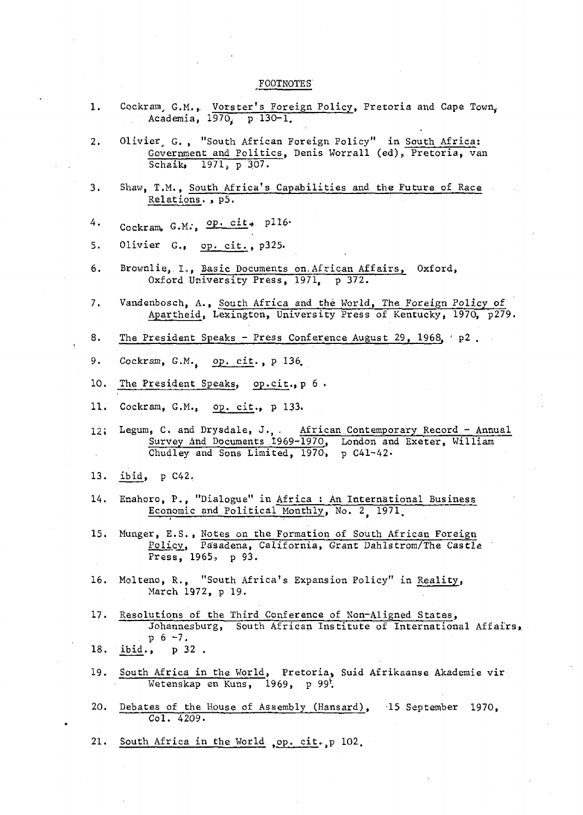#### FOOTNOTES

- 1. Cockram, G.M., Vorster's Foreign Policy, Pretoria and Cape Town, Academia, 1970, p-130-1.
- 2. Olivier, G., "South African Foreign Policy" in South Africa: Government and Politics, Denis Worrall (ed), Pretoria, van Schaik,  $1971_p$  p  $307$ .
- 3. Shaw, T.M., South Africa's Capabilities and the Future of Race Relations. » p5.
- $4 \cdot$  Cockram, G.M.,  $\overline{op}$ . cit, p116.
- 5. Olivier G.» op. cit. , p325.
- 6. Brownlie, I,, Basic Documents on.African Affairs, Oxford, Oxford University Press, 1971, p 372.
- 7. Vandenbosch, A., South Africa and the World, The Foreign Policy of Apartheid, Lexington, University Press of Kentucky, 1970, p279.  $\overline{\phantom{a}}$
- 8. 8. The President Speaks - Press Conference August 29, 1968, ' p2 ,
- 9. 9. Cockram, G.M. op. cit. , p 136. Cockram, G.M. op. cit. , p 136. Cockram, G.M. op. cit. , p 136. Cockram, G.<br>136. Cockram, G.M. op. cit. , p 136. Cockram, G.M. op. cit. , p 136. Cockram, G.M. op. cit. , p 136. Cockram,
- 10. 10\* The President Speaks, op.ci\_t., p 6 .
- 11. 11. Cockram, G.M., op. cit., p 133. Cockram, G.M., p 133. Cockram, G.M., p 133. Cockram, G.M., p 133. Cockram,
- 12; Legum, C. and Drysdale, J., . African Contemporary Record Annual Survey And Documents 1969-1970, London and Exeter, William Chudley and Sons Limited, 1970, p C41-42-
- 13. ibid, p C42,
- 14. Enahoro, P., "Dialogue" in Africa : An International Business Economic and Political Monthly, No. 2 1971.
- 15. Munger, E.S., Notes on the Formation of South African Foreign Policy, Pasadena, California, Grant Dahlstrom/The Castle Press, 1965, p 93.
- 16. Molteno, R., "South Africa's Expansion Policy" in Reality, March 1972, p 19.
- 17. Resolutions of the Third Conference of Non-Aligned States, Johannesburg, South African Institute of International Affairs, p 6 -1,
- 18. ibid., p 32 .
- 19. South Africa in the World, Pretoria, Suid Afrikaanse Akademie vir Wetenskap en Kuns, 1969, p 99\*.
- 20. Debates of the House of Assembly (Hansard), -15 September 1970, Col. 4209.
- 21. South Africa in the World , op. cit., p 102.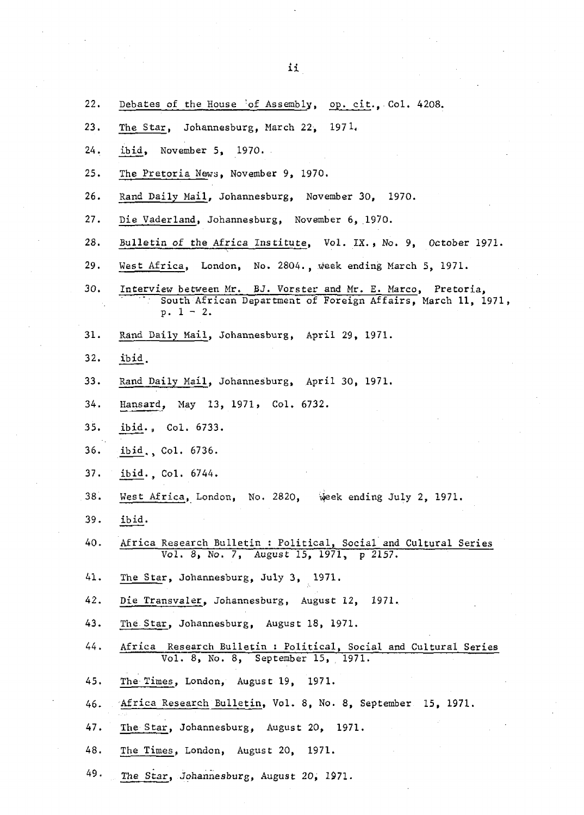$\mathcal{F}_{\mathcal{A}}$ 

| 22. | Debates of the House 'of Assembly, op. cit., Col. 4208.                                                                                      |
|-----|----------------------------------------------------------------------------------------------------------------------------------------------|
| 23. | The Star, Johannesburg, March 22, 1971.                                                                                                      |
| 24. | ibid, November 5, $1970.$                                                                                                                    |
| 25. | The Pretoria News, November 9, 1970.                                                                                                         |
| 26. | Rand Daily Mail, Johannesburg, November 30, 1970.                                                                                            |
| 27. | Die Vaderland, Johannesburg, November 6, 1970.                                                                                               |
| 28. | Bulletin of the Africa Institute, Vol. IX., No. 9, October 1971.                                                                             |
| 29. | West Africa, London, No. 2804., week ending March 5, 1971.                                                                                   |
| 30. | Interview between Mr. BJ. Vorster and Mr. E. Marco, Pretoria,<br>South African Department of Foreign Affairs, March 11, 1971,<br>$p. 1 - 2.$ |
| 31. | Rand Daily Mail, Johannesburg, April 29, 1971.                                                                                               |
| 32. | ibid.                                                                                                                                        |
| 33. | Rand Daily Mail, Johannesburg, April 30, 1971.                                                                                               |
| 34. | Hansard, May 13, 1971, Col. 6732.                                                                                                            |
| 35. | ibid., Col. 6733.                                                                                                                            |
| 36. | ibid., Col. 6736.                                                                                                                            |
| 37. | ibid., Co1. 6744.                                                                                                                            |
| 38. | West Africa, London, No. 2820,<br>Week ending July 2, 1971.                                                                                  |
| 39. | ibid.                                                                                                                                        |
| 40. | Africa Research Bulletin: Political, Social and Cultural Series<br>Vol. 8, No. 7, August 15, 1971, p 2157.                                   |
| 41. | The Star, Johannesburg, July 3, 1971.                                                                                                        |
| 42. | Die Transvaler, Johannesburg, August 12, 1971.                                                                                               |
| 43. | The Star, Johannesburg, August 18, 1971.                                                                                                     |
| 44. | Africa Research Bulletin : Political, Social and Cultural Series<br>Vol. 8, No. 8, September 15, 1971.                                       |
| 45. | The Times, London, August 19, 1971.                                                                                                          |
| 46. | Africa Research Bulletin, Vol. 8, No. 8, September 15, 1971.                                                                                 |
| 47. | The Star, Johannesburg, August 20, 1971.                                                                                                     |
| 48. | The Times, London, August 20, 1971.                                                                                                          |
| 49. | The Star, Johannesburg, August 20, 1971.                                                                                                     |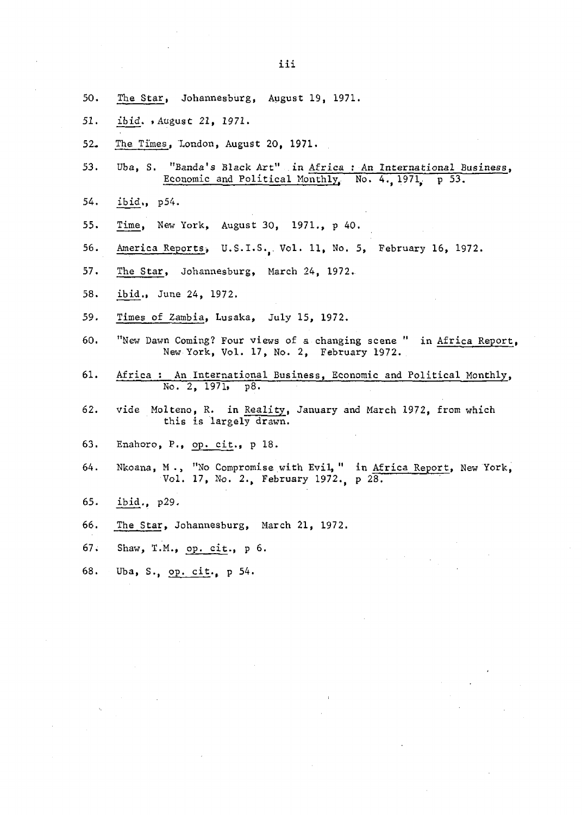- 50< The Star, Johannesburg, August 19, 1971.
- 51. ibid. .August 21, 1971.
- 52. The Times, London, August 20, 1971.
- 53. Uba, S. "Banda's Black Art" in Africa : An International Business, Economic and Political Monthly, No. 4. 1971, p 53.

Economic and Political Monthly.. No. 4., 1971. p 53.

- 54. ibid., p54.
- Time, New York, August 30, 1971., p 40. 55.
- 56. America Reports, U.S.I.S., Vol. 11, No. 5, February 16, 1972. 56. America Reports, U.S.I.S.(, Vol. 11, No. 5, February 16, 1972.
- 57 The Star Company of Stars, Stars, Stars, Stars, Stars, Stars, Stars, Stars, Stars, Stars, Stars, Stars, Stars, Stars, Stars, Stars, Stars, Stars, Stars, Stars, Stars, Stars, Stars, Stars, Stars, Stars, Stars, Stars, Sta
- 58. ibid., June 24, 1972. 58. ibid., June 24, 1972.
- 59. Times of Zambia, Lusaka, July 15, 1972. 59. Times of Zambia, Lusaka, July 15, 1972.
- 60. "New Dawn Coming? Four views of a changing scene " in Africa Report, New York, Vol. 17, No. 2, February 1972.
- 61. Africa : An International Business, Economic and Political Monthly,<br>No. 2, 1971, p8.  $No. 2, 1971.$
- 62. vide Molteno, R. in Reality, January and March 1972, from which this is largely drawn.
- 63. Enahoro, P., op. cit., p 18. 63. Enahoro, P., op. cit., p 18.
- Nkoana, M., "No Compromise with Evil, " in Africa Report, New York, Vol. 17, No. 2., February 1972., p 28.  $64.$
- 65.  $29.$
- 66. The Star, Johannesburg, March 21, 1972.
- 67. Shaw, T.M., op. cit., p 6.
- 68. Uba, S., op. cit., p 54.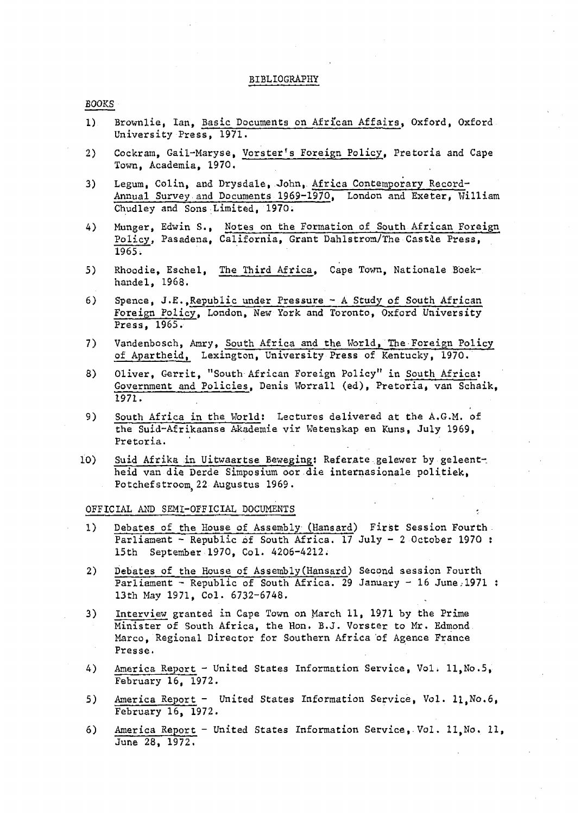#### BIBLIOGRAPHY

#### BOOKS

- 1) Brownlie, Ian, Basic Documents on African Affairs, Oxford, Oxford University Press, 1971.
- 2) Cockram, Gail-Maryse, Vorster's Foreign Policy, Pretoria and Cape Town, Academia, 1970.
- 3) Legum, Colin, and Drysdale, John, Africa Contemporary Record-Annual Survey and Documents 1969-1970, London and Exeter, William Chudley and Sons Limited, 1970.
- 4) Munger, Edwin S., Notes on the Formation of South African Foreign Policy, Pasadena, California, Grant Dahlstrom/The Castle Press, 1965.
- 5) Rhoodie, Eschel, The Third Africa, Cape Town, Nationale Boekhandel, 1968.
- 6) Spence, J.E.,Republic under Pressure A Study of South African Foreign Policy, London, New York and Toronto, Oxford University Press, 1965.
- 7) Vandenbosch, Amry, South Africa and the World, The Foreign Policy of Apartheid, Lexington, University Press of Kentucky, 1970.
- 8) Oliver, Gerrit, "South African Foreign Policy" in South Africa: Government and Policies, Denis Worrall (ed), Pretoria, van Schaik,  $1971.$
- 9) South Africa in the World: Lectures delivered at the A.G.M. of the Suid-Afrikaanse Akademie vir Wetenskap en Kuns, July 1969, Pretoria.
- 10) Suid Afrika in Uitwaartse Bewegingi Referate gelewer by geleentheid van die Derde Simposium oor die internasionale politiek, Potchefstroom 22 Augustus 1969.

#### OFFICIAL AND SEMI-OFFICIAL DOCUMENTS

- 1) Debates of the House of Assembly (Hansard) First Session Fourth. Parliament - Republic of South Africa. 17 July - 2 October 1970 : 15th September 1970, Col. 4206-4212.
- 2) Debates of the House of Assembly(Hansard) Second session Fourth Parliament - Republic of South Africa. 29 January - 16 June, 1971 : 13th May 1971, Col. 6732-6748.
- 3) Interview granted in Cape Town on March 11, 1971 by the Prime Minister of South Africa, the Hon. B.J. Vorster to Mr. Edmond Marco, Regional Director for Southern Africa of Agence France Presse.
- 4) America Report United States Information Service, Vol. 11, No. 5, February 16, 1972.
- 5) America Report United States Information Service, Vol. 11, No.6, February 16, 1972.
- 6) America Report United States Information Service, Vol. 11, No. 11, June 28, 1972.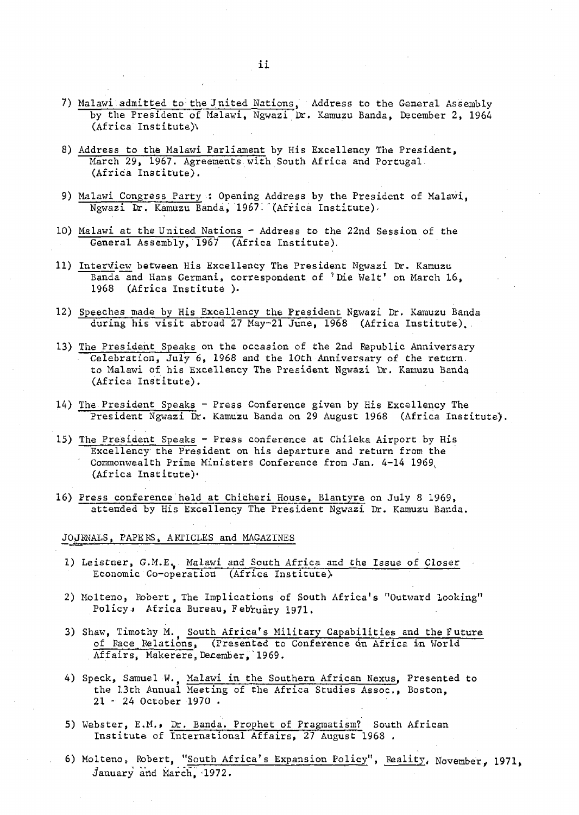- 7) Malawi admitted to the Jnited Nations, Address to the General Assembly by the President of Malawi, Ngwazi Dr. Kamuzu Banda, December 2, 1964 (Africa Institute^
- 8) Address to the Malawi Parliament by His Excellency The President, March 29, 1967. Agreements with South Africa and Portugal. (Africa Institute).
- 9) Malawi Congress Party : Opening Address by the President of Malawi, Ngwazi Dr. Kamuzu Banda, 1967 (Africa Institute).
- 10) Malawi at the United Nations Address to the 22nd Session of the General Assembly, 1967 (Africa Institute).
- 11) Interview between His Excellency The President Ngwazi Dr. Kamuzu Banda and Hans Germani, correspondent of 'Die Welt' on March 16, 1968 (Africa Institute ).
- 12) Speeches made by His Excellency the President Ngwazi Dr. Kamuzu Banda during his visit abroad 27 May-21 June, 1968 (Africa Institute).
- 13) The President Speaks on the occasion of the 2nd Republic Anniversary Celebration, July 6, 1968 and the 10th Anniversary of the return. to Malawi of his Excellency The President Ngwazi Dr. Kamuzu Banda (Africa Institute).
- 14) The President Speaks Press Conference given by His Excellency The President Ngwazi Dr. Kamuzu Banda on 29 August 1968 (Africa Institute),
- 15) The President Speaks Press conference at Chileka Airport by His Excellency the President on his departure and return from the Commonwealth Prime Ministers Conference from Jan. 4-14 1969, (Africa Institute)\*
- 16) Press conference held at Chicheri House, Blantyre on July 8 1969, attended by His Excellency The President Ngwazi Dr. Kamuzu Banda.

#### JO.JENALS, PAPERS, ARTICLES and MAGAZINES

- 1) Leistner, G.M.E. Malawi and South Africa and the Issue of Closer Economic Co-operation (Africa Institute).
- 2) Molteno, Robert, The Implications of South Africa's "Outward Looking" Policy, Africa Bureau, February 1971.
- 3) Shaw, Timothy M. South Africa's Military Capabilities and the Future of Face Relations, (Presented to Conference on Africa in World Affairs, Makerere, December, 1969.
- 4) Speck, Samuel W., Ma<u>lawi in the Southern African</u> Nexus, Presented to the 13th Annual Meeting of the Africa Studies Assoc., Boston, 21 - 24 October 1970 .
- 5) Webster, E.M.» Dr. Banda. Prophet of Pragmatism? South African Institute of International Affairs, 27 August 1968 .
- 6) Molteno, Robert, "South Africa's Expansion Policy", Reality, November, 1971, January and March, -1972.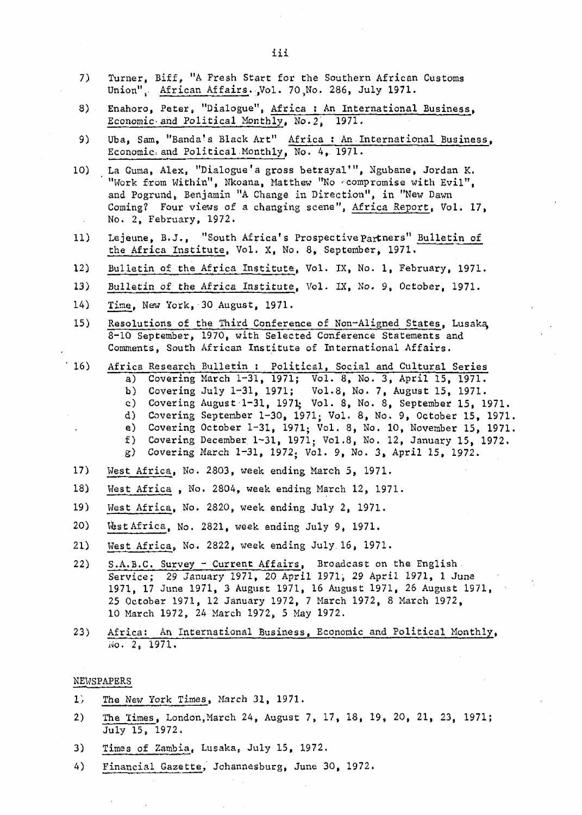- 7) Turner, Biff, "A Fresh Start for the Southern African Customs Union", African Affairs. Vol. 70 No. 286, July 1971.
- 8) Enahoro, Peter, "Dialogue", Africa : An International Business, Economic and Political Monthly, No.2, 1971.
- 9) Uba, Sam, "Banda's Black Art" Africa : An International Business, Economic and Political Monthly, No. 4, 1971.
- 10) La Guma, Alex, "Dialogue'a gross betrayal'", Ngubane, Jordan K. "Work from Within", Nkoana, Matthew "No compromise with Evil", and Pogrund, Benjamin "A Change in Direction", in "New Dawn Coming? Four views of a changing scene", Africa Report, Vol. 17, No. 2, February, 1972.
- 11) Lejeune, B.J., "South Africa's Prospective Partners" Bulletin of the Africa Institute, Vol. X, No. 8, September, 1971.
- 12) Bulletin of the Africa Institute, Vol. IX, No. 1, February, 1971.
- 13) Bulletin of the Africa Institute, Vol. IX, No. 9, October, 1971.
- 14) Time, New York, 30 August, 1971.
- $15)$ Resolutions of the Third Conference of Non-Aligned States, Lusaka, 8-10 September, 1970, with Selected Conference Statements and Comments, South African Institute of International Affairs.
- $16)$ Africa Research Bulletin : Political, Social and Cultural Series a) Covering March 1-31, 1971; Vol. 8, No. 3, April 15, 1971. b) Covering July 1-31, 1971; Vol.8, No. 7, August 15, 1971. c) Covering August 1-31, 1971; Vol. 8, No. 8, September 15, 1971. d) Covering September 1-30, 1971; Vol. 8, No. 9, October 15, 1971 e) Covering October 1-31, 1971; Vol. 8, No. 10, November 15, 1971 f) Covering December 1-31, 1971; Vol.8, No. 12, January 15, 1972. g) Covering March 1-31, 1972. Vol. 9, No. 3, April 15, 1972.
- 17) West Africa, No. 2803, week ending March 5, 1971.
- West Africa , No. 2804, week ending March 12, 1971.  $18)$
- $19)$ West Africa, No. 2820, week,ending July 2, 1971.
- 20) Wast Africa, No. 2821, week ending July 9, 1971.
- $21)$ West Africa, No. 2822, week ending July 16, 1971.
- 22) S.A.B.C. Survey Current Affairs, Broadcast on the English Service; 29 January 1971, 20 April 1971, 29 April 1971, 1 June 1971, 17 June 1971, 3 August 1971, 16 August 1971, 26 August 1971, 25 October 1971, 12 January 1972, 7 March 1972, 8 March 1972, 10 March 1972, 24 March 1972, 5 May 1972.
- 23) Africa: An International Business, Economic and Political Monthly, Wo. 2, 1971.

#### NEWSPAPERS

- lj The Mew York Times, March 31, 1971.
- 2) The Times, London.March 24, August 7, 17, 18, 19, 20, 21, 23, 1971; July 15, 1972.
- 3) Times of Zambia, Lusaka, July 15, 1972.
- 4) Financial Gazette, Johannesburg, June 30, 1972.